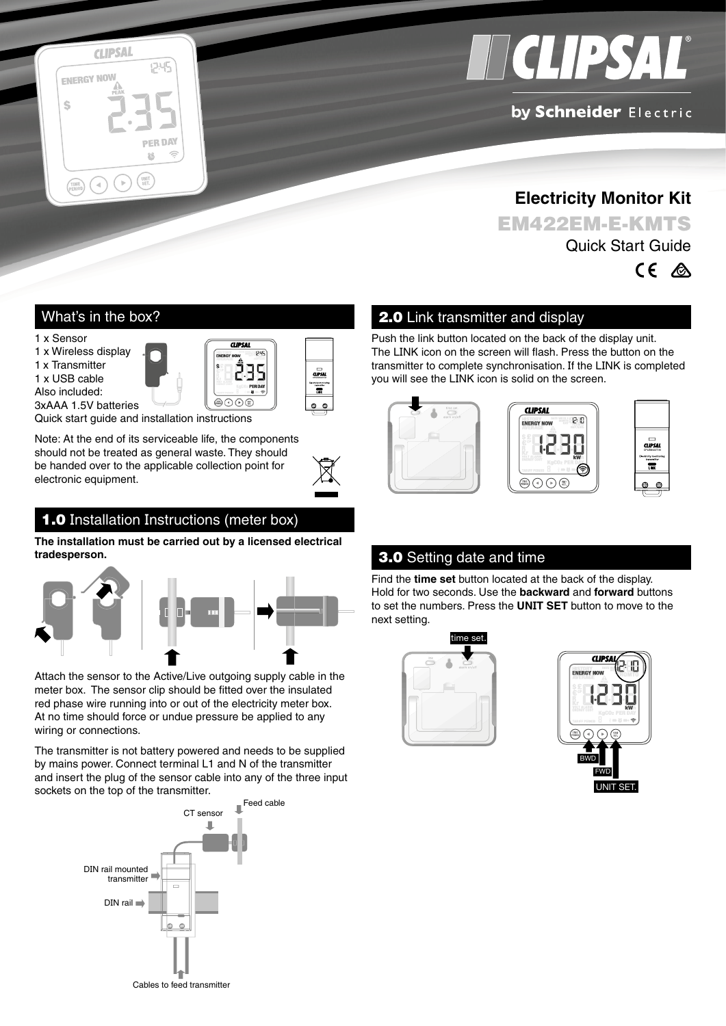



### by Schneider Electric

**Electricity Monitor Kit** EM422EM-E-KMTS Quick Start Guide



#### What's in the box?

1 x Sensor

1 x Wireless display

1 x Transmitter

1 x USB cable







Quick start guide and installation instructions

Note: At the end of its serviceable life, the components should not be treated as general waste. They should be handed over to the applicable collection point for electronic equipment.

# 1.0 Installation Instructions (meter box)

**The installation must be carried out by a licensed electrical tradesperson.**



Attach the sensor to the Active/Live outgoing supply cable in the meter box. The sensor clip should be fitted over the insulated red phase wire running into or out of the electricity meter box. At no time should force or undue pressure be applied to any wiring or connections.

The transmitter is not battery powered and needs to be supplied by mains power. Connect terminal L1 and N of the transmitter and insert the plug of the sensor cable into any of the three input sockets on the top of the transmitter.



#### 2.0 Link transmitter and display

Push the link button located on the back of the display unit. The LINK icon on the screen will flash. Press the button on the transmitter to complete synchronisation. If the LINK is completed you will see the LINK icon is solid on the screen.







#### 3.0 Setting date and time

Find the **time set** button located at the back of the display. Hold for two seconds. Use the **backward** and **forward** buttons to set the numbers. Press the **UNIT SET** button to move to the next setting.